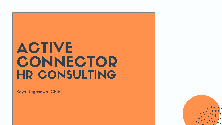Saya Nagasawa, CHRO

# ACTIVE CONNECTOR HR CONSULTING

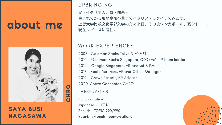# about me

#### WORK EXPERIENCES

- 2008 Goldman Sachs Tokyo 新卒入社
- 2010 Goldman Sachs Singapore, CDD/AML JP team leader
- 2014 Google Singapore, HR Analyst & PM
- 2017 Koala Mattress, HR and Office Manager
- 2019 Crown Resorts, HR Advisor
- 2020 Active Connector, CHRO

父・イタリア人、母・関西人。 ⽣まれてから現地⾼校卒業までイタリア・ラクイラで過ごす。 上智⼤学⽐較⽂化学部⼊学のため来⽇。その後シンガポール、豪シドニー、 現在はパースに居住。

#### UPBRINGING

LANGUAGES

Italian - native Japanese - JLPT N1 English - TOEIC 990/990 Spanish/French - conversational





### SAYA BUSI NAGASAWA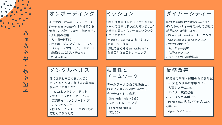トピック・セッション $\blacksquare$  $\sum$ 4 A  $\mathbf{L}$  $\mathbf{L}$ 

オンボーディング

御社での「従業員・ジャーニー」 ("employee journey") は入社前から 始まり、入社してからも続きます。| - 入社前の連絡 - 入社日の段取り – オンボーディングトレーニング - バディー・マネージャーサポート - 継続的なパルス・チェック – Work with me

ミッション

御社の従業員は皆同じミッションに ■向かって仕事に取り組んでいますか? ■ 入社日と同じくらい仕事にワクワク していますか? - Mission Vision Value セッション ┃ カルチャー代表 | ├ 御社で働く特権(perks&benefits) ┃ 従業員対従業員トレーニング

メンタルヘルス

体の健康と同じくらい大切な メンタルヘルス。御社の従業員は 悩んでいませんか? - R U OK?, ストレス・テスト - サイコロジカル・セーフティー - 継続的な 1-1, メンターシップ - カウンセリング - 様々なライフステージや状況に 応じた柔軟な対応

独自性と チームワーク チームワークの強さを理解し、 お互いの強みを活かしながら、 会社全体として成長。 – Strength finder/ DiSC - スキルトレーニング – I am remarkable - 5%, 20%

ダイバーシティー

国籍や言語だけではないんです! ダイバーシティーを活かして御社の 成長につなげましょう。 - Diversity&inclusion トレーニング - Unconscious bias セッション

- 世代別の働き方
- カルチャー共有
- 言語セッション
- バイリンガル制度推進

#### 業 務 改 善

従業員の管理・運用の負担を軽減| し、大切な仕事に集中させる - 人事システム, 360 - デイリー業務改善 - バイリンガルポリシー - Pomodoro, 記憶力アップ, work wit h m e - Agile メソドロジー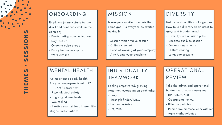Not just nationalities or languages! How to use diversity as an asset to grow and broaden mind

- Diversity and inclusion pulse
- Unconscious bias session
- Generations at work
- Culture sharing
- Language sessions

Are your employees burnt out ?

- R U OK?, Stress test
- Psychological safety
- ongoing 1-1, mentorship
- Counseling
- Flexible support for different life stages and situation: EALTH<br>
y health.<br>
burnt out?<br>
it<br>
ty<br>
rship<br>
r different life<br>
s<br>
Feel<br>
foge<br>
free<br>
- Str<br>
- I a<br>
- Str<br>
- I a<br>
- Str<br>
- Str<br>
- Str<br>
- Str<br>
- Str<br>
- Str<br>
- Str<br>
- Str<br>
- Str<br>
- Str<br>
- Str<br>
- Str<br>
- Str<br>
- Str<br>
- Str<br>
- Str

# OPERATIONAL R E VIE W

Take the admin and operational burden out of your employees

- HR System, 360
- Operational review
- Bilingual policies
- Pomodoro, memory, work with m e
- Agile methodologies

#### MIS SIO N

ls everyone working towards the same goal? Is everyone as excited as day 1?

- Mission Vision Value session
- Culture steward
- Perks of working at your company
- A to A employee coaching

### DIVIDUALITY+ **TEAMWORK**

Feeling empowered, growing together, leveraging on each other strength

- Strength finder/ DiSC
- I am remarkable
- 5%, 20%

### DIVERSITY



#### ONBOARDING

Employee journey starts before day 1 and continues while in the company

- Pre-boarding communication
- Day 1 set up
- Ongoing pulse check
- Buddy/manager support
- Work with me

#### MENTAL HEALTH

As important as body health.